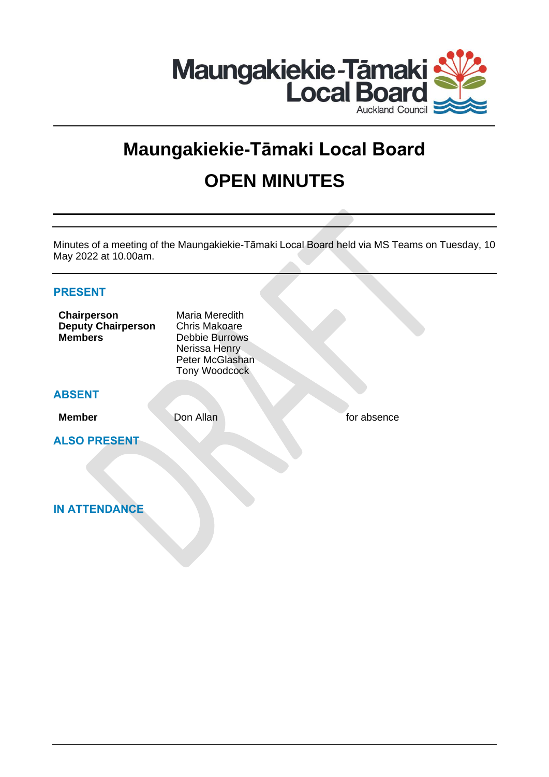

# **Maungakiekie-Tāmaki Local Board OPEN MINUTES**

Minutes of a meeting of the Maungakiekie-Tāmaki Local Board held via MS Teams on Tuesday, 10 May 2022 at 10.00am.

| <b>PRESENT</b>                                             |                                                                                                                      |             |
|------------------------------------------------------------|----------------------------------------------------------------------------------------------------------------------|-------------|
| Chairperson<br><b>Deputy Chairperson</b><br><b>Members</b> | Maria Meredith<br><b>Chris Makoare</b><br><b>Debbie Burrows</b><br>Nerissa Henry<br>Peter McGlashan<br>Tony Woodcock |             |
| <b>ABSENT</b>                                              |                                                                                                                      |             |
| <b>Member</b>                                              | Don Allan                                                                                                            | for absence |
| <b>ALSO PRESENT</b>                                        |                                                                                                                      |             |
| <b>IN ATTENDANCE</b>                                       |                                                                                                                      |             |